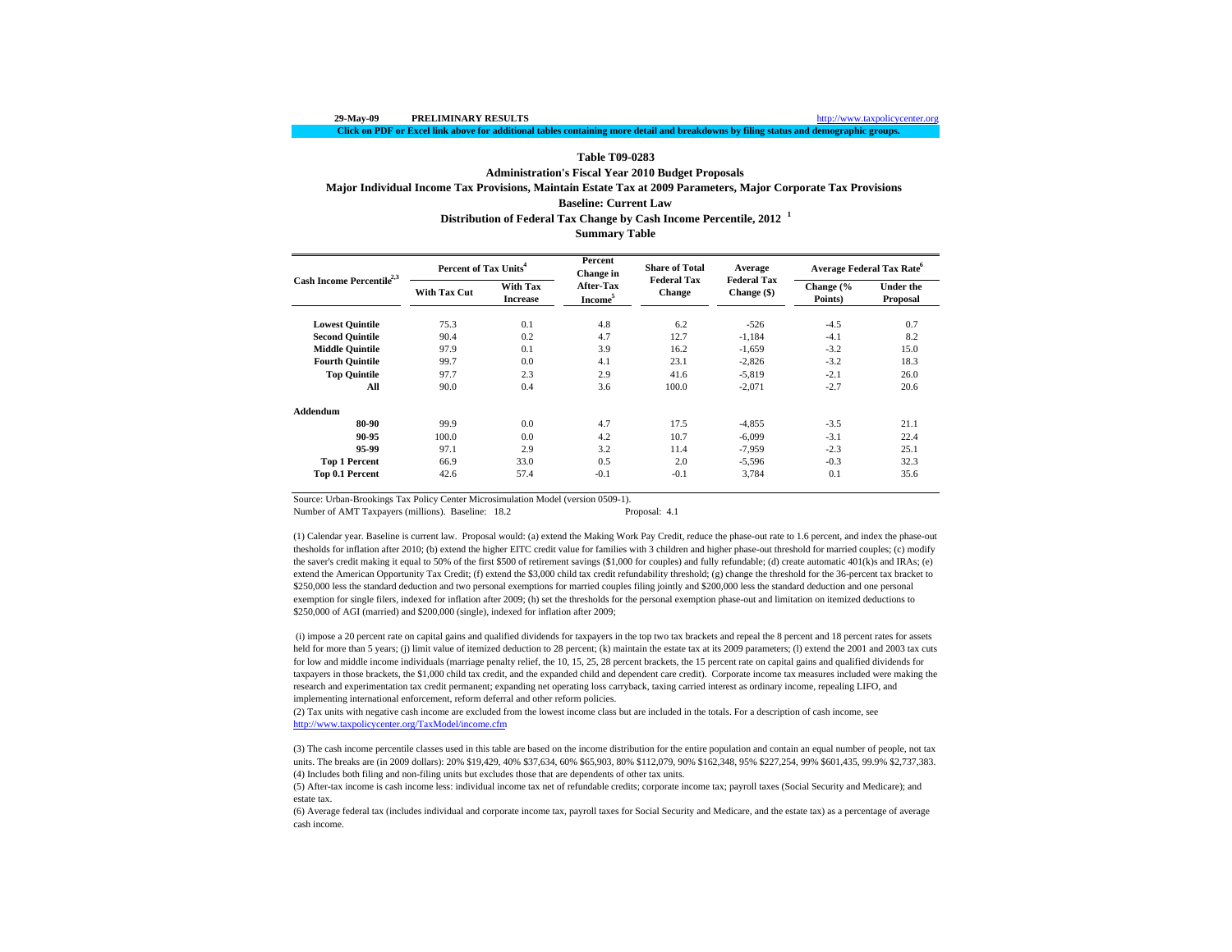#### **Click on PDF or Excel link above for additional tables containing more detail and breakdowns by filing status and demographic groups.**

### **Table T09-0283**

# **Administration's Fiscal Year 2010 Budget Proposals Major Individual Income Tax Provisions, Maintain Estate Tax at 2009 Parameters, Major Corporate Tax Provisions Baseline: Current Law**

**Distribution of Federal Tax Change by Cash Income Percentile, 2012 <sup>1</sup>**

**Summary Table**

| Cash Income Percentile <sup>2,3</sup> | Percent of Tax Units <sup>4</sup> |                                    | Percent<br>Change in                    | <b>Share of Total</b>               | Average                           | Average Federal Tax Rate <sup>o</sup> |                              |  |
|---------------------------------------|-----------------------------------|------------------------------------|-----------------------------------------|-------------------------------------|-----------------------------------|---------------------------------------|------------------------------|--|
|                                       | <b>With Tax Cut</b>               | <b>With Tax</b><br><b>Increase</b> | <b>After-Tax</b><br>Income <sup>5</sup> | <b>Federal Tax</b><br><b>Change</b> | <b>Federal Tax</b><br>Change (\$) | Change (%<br>Points)                  | <b>Under the</b><br>Proposal |  |
| <b>Lowest Quintile</b>                | 75.3                              | 0.1                                | 4.8                                     | 6.2                                 | $-526$                            | $-4.5$                                | 0.7                          |  |
| <b>Second Quintile</b>                | 90.4                              | 0.2                                | 4.7                                     | 12.7                                | $-1,184$                          | $-4.1$                                | 8.2                          |  |
| <b>Middle Quintile</b>                | 97.9                              | 0.1                                | 3.9                                     | 16.2                                | $-1,659$                          | $-3.2$                                | 15.0                         |  |
| <b>Fourth Quintile</b>                | 99.7                              | 0.0                                | 4.1                                     | 23.1                                | $-2,826$                          | $-3.2$                                | 18.3                         |  |
| <b>Top Quintile</b>                   | 97.7                              | 2.3                                | 2.9                                     | 41.6                                | $-5,819$                          | $-2.1$                                | 26.0                         |  |
| All                                   | 90.0                              | 0.4                                | 3.6                                     | 100.0                               | $-2,071$                          | $-2.7$                                | 20.6                         |  |
| Addendum                              |                                   |                                    |                                         |                                     |                                   |                                       |                              |  |
| 80-90                                 | 99.9                              | 0.0                                | 4.7                                     | 17.5                                | $-4,855$                          | $-3.5$                                | 21.1                         |  |
| 90-95                                 | 100.0                             | 0.0                                | 4.2                                     | 10.7                                | $-6,099$                          | $-3.1$                                | 22.4                         |  |
| 95-99                                 | 97.1                              | 2.9                                | 3.2                                     | 11.4                                | -7,959                            | $-2.3$                                | 25.1                         |  |
| <b>Top 1 Percent</b>                  | 66.9                              | 33.0                               | 0.5                                     | 2.0                                 | $-5,596$                          | $-0.3$                                | 32.3                         |  |
| Top 0.1 Percent                       | 42.6                              | 57.4                               | $-0.1$                                  | $-0.1$                              | 3,784                             | 0.1                                   | 35.6                         |  |

Source: Urban-Brookings Tax Policy Center Microsimulation Model (version 0509-1).

Number of AMT Taxpayers (millions). Baseline: 18.2 Proposal: 4.1

(1) Calendar year. Baseline is current law. Proposal would: (a) extend the Making Work Pay Credit, reduce the phase-out rate to 1.6 percent, and index the phase-out thesholds for inflation after 2010; (b) extend the higher EITC credit value for families with 3 children and higher phase-out threshold for married couples; (c) modify the saver's credit making it equal to 50% of the first \$500 of retirement savings (\$1,000 for couples) and fully refundable; (d) create automatic 401(k)s and IRAs; (e) extend the American Opportunity Tax Credit; (f) extend the \$3,000 child tax credit refundability threshold; (g) change the threshold for the 36-percent tax bracket to \$250,000 less the standard deduction and two personal exemptions for married couples filing jointly and \$200,000 less the standard deduction and one personal exemption for single filers, indexed for inflation after 2009; (h) set the thresholds for the personal exemption phase-out and limitation on itemized deductions to \$250,000 of AGI (married) and \$200,000 (single), indexed for inflation after 2009;

 (i) impose a 20 percent rate on capital gains and qualified dividends for taxpayers in the top two tax brackets and repeal the 8 percent and 18 percent rates for assets held for more than 5 years; (j) limit value of itemized deduction to 28 percent; (k) maintain the estate tax at its 2009 parameters; (l) extend the 2001 and 2003 tax cuts for low and middle income individuals (marriage penalty relief, the 10, 15, 25, 28 percent brackets, the 15 percent rate on capital gains and qualified dividends for taxpayers in those brackets, the \$1,000 child tax credit, and the expanded child and dependent care credit). Corporate income tax measures included were making the research and experimentation tax credit permanent; expanding net operating loss carryback, taxing carried interest as ordinary income, repealing LIFO, and implementing international enforcement, reform deferral and other reform policies.

(2) Tax units with negative cash income are excluded from the lowest income class but are included in the totals. For a description of cash income, see http://www.taxpolicycenter.org/TaxModel/income.cfm

(4) Includes both filing and non-filing units but excludes those that are dependents of other tax units. (3) The cash income percentile classes used in this table are based on the income distribution for the entire population and contain an equal number of people, not tax units. The breaks are (in 2009 dollars): 20% \$19,429, 40% \$37,634, 60% \$65,903, 80% \$112,079, 90% \$162,348, 95% \$227,254, 99% \$601,435, 99.9% \$2,737,383.

(5) After-tax income is cash income less: individual income tax net of refundable credits; corporate income tax; payroll taxes (Social Security and Medicare); and estate tax.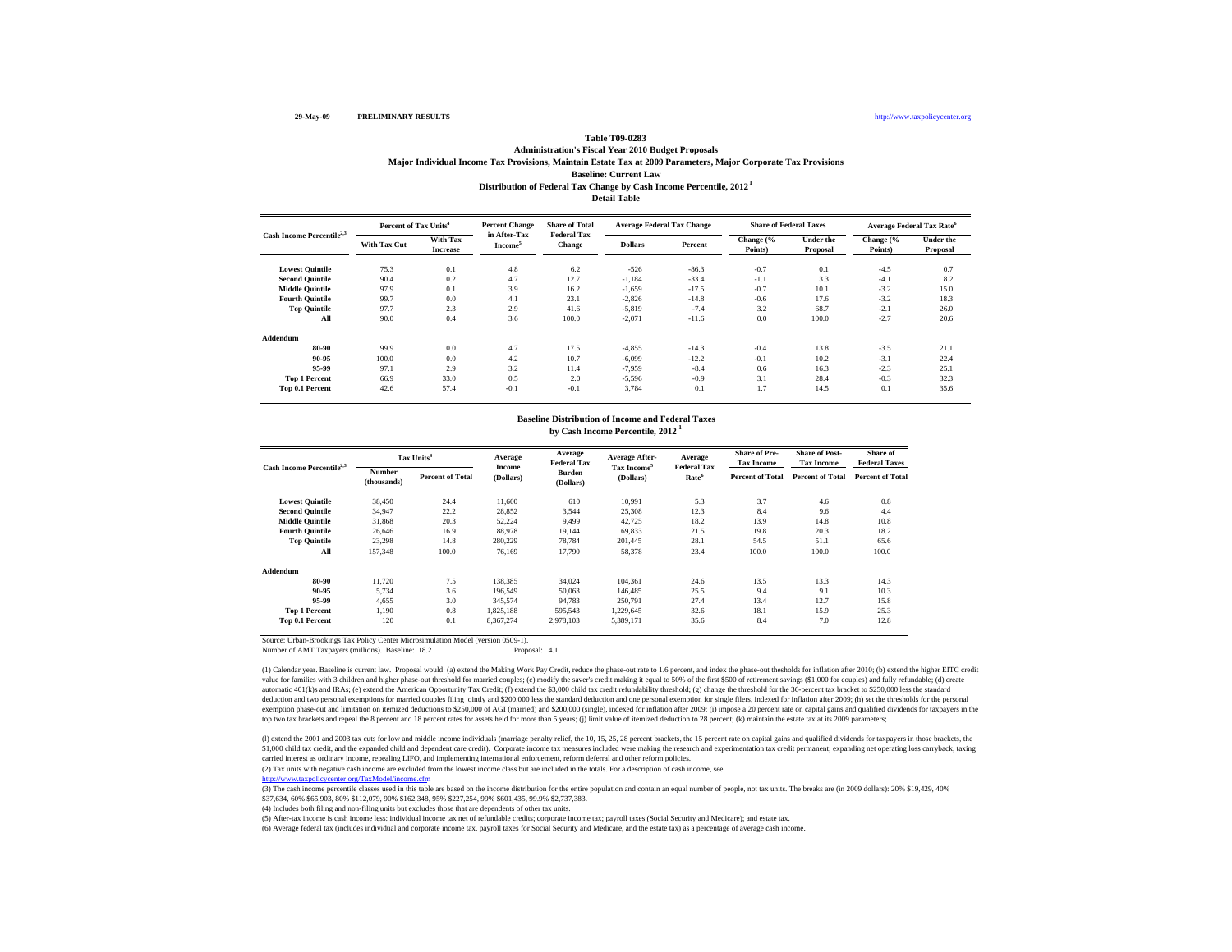### **Detail TableBaseline: Current Law Distribution of Federal Tax Change by Cash Income Percentile, 2012 1 Table T09-0283 Administration's Fiscal Year 2010 Budget Proposals Major Individual Income Tax Provisions, Maintain Estate Tax at 2009 Parameters, Major Corporate Tax Provisions**

| Cash Income Percentile <sup>2,3</sup> |              | Percent of Tax Units <sup>4</sup> |                                     | <b>Share of Total</b>               | <b>Average Federal Tax Change</b> |         |                      | <b>Share of Federal Taxes</b> |                      | <b>Average Federal Tax Rate<sup>6</sup></b> |
|---------------------------------------|--------------|-----------------------------------|-------------------------------------|-------------------------------------|-----------------------------------|---------|----------------------|-------------------------------|----------------------|---------------------------------------------|
|                                       | With Tax Cut | With Tax<br><b>Increase</b>       | in After-Tax<br>Income <sup>5</sup> | <b>Federal Tax</b><br><b>Change</b> | <b>Dollars</b>                    | Percent | Change (%<br>Points) | Under the<br>Proposal         | Change (%<br>Points) | Under the<br>Proposal                       |
| <b>Lowest Quintile</b>                | 75.3         | 0.1                               | 4.8                                 | 6.2                                 | $-526$                            | $-86.3$ | $-0.7$               | 0.1                           | $-4.5$               | 0.7                                         |
| <b>Second Quintile</b>                | 90.4         | 0.2                               | 4.7                                 | 12.7                                | $-1.184$                          | $-33.4$ | $-1.1$               | 3.3                           | $-4.1$               | 8.2                                         |
| <b>Middle Quintile</b>                | 97.9         | 0.1                               | 3.9                                 | 16.2                                | $-1,659$                          | $-17.5$ | $-0.7$               | 10.1                          | $-3.2$               | 15.0                                        |
| <b>Fourth Quintile</b>                | 99.7         | 0.0                               | 4.1                                 | 23.1                                | $-2,826$                          | $-14.8$ | $-0.6$               | 17.6                          | $-3.2$               | 18.3                                        |
| <b>Top Quintile</b>                   | 97.7         | 2.3                               | 2.9                                 | 41.6                                | $-5,819$                          | $-7.4$  | 3.2                  | 68.7                          | $-2.1$               | 26.0                                        |
| All                                   | 90.0         | 0.4                               | 3.6                                 | 100.0                               | $-2,071$                          | $-11.6$ | 0.0                  | 100.0                         | $-2.7$               | 20.6                                        |
| Addendum                              |              |                                   |                                     |                                     |                                   |         |                      |                               |                      |                                             |
| 80-90                                 | 99.9         | 0.0                               | 4.7                                 | 17.5                                | $-4,855$                          | $-14.3$ | $-0.4$               | 13.8                          | $-3.5$               | 21.1                                        |
| 90-95                                 | 100.0        | 0.0                               | 4.2                                 | 10.7                                | $-6,099$                          | $-12.2$ | $-0.1$               | 10.2                          | $-3.1$               | 22.4                                        |
| 95-99                                 | 97.1         | 2.9                               | 3.2                                 | 11.4                                | $-7,959$                          | $-8.4$  | 0.6                  | 16.3                          | $-2.3$               | 25.1                                        |
| <b>Top 1 Percent</b>                  | 66.9         | 33.0                              | 0.5                                 | 2.0                                 | $-5,596$                          | $-0.9$  | 3.1                  | 28.4                          | $-0.3$               | 32.3                                        |
| Top 0.1 Percent                       | 42.6         | 57.4                              | $-0.1$                              | $-0.1$                              | 3.784                             | 0.1     | 1.7                  | 14.5                          | 0.1                  | 35.6                                        |

#### **by Cash Income Percentile, 2012 <sup>1</sup> Baseline Distribution of Income and Federal Taxes**

| Cash Income Percentile <sup>2,3</sup> |                       | Tax Units <sup>4</sup>  | Average<br>Income | Average<br><b>Federal Tax</b> | Average After-          | Average<br><b>Federal Tax</b> | <b>Share of Pre-</b><br><b>Tax Income</b> | <b>Share of Post-</b><br><b>Tax Income</b> | Share of<br><b>Federal Taxes</b> |
|---------------------------------------|-----------------------|-------------------------|-------------------|-------------------------------|-------------------------|-------------------------------|-------------------------------------------|--------------------------------------------|----------------------------------|
|                                       | Number<br>(thousands) | <b>Percent of Total</b> | (Dollars)         | <b>Burden</b><br>(Dollars)    | Tax Income<br>(Dollars) | Rate <sup>6</sup>             | <b>Percent of Total</b>                   | <b>Percent of Total</b>                    | <b>Percent of Total</b>          |
| <b>Lowest Quintile</b>                | 38,450                | 24.4                    | 11,600            | 610                           | 10,991                  | 5.3                           | 3.7                                       | 4.6                                        | 0.8                              |
| <b>Second Ouintile</b>                | 34.947                | 22.2                    | 28,852            | 3,544                         | 25,308                  | 12.3                          | 8.4                                       | 9.6                                        | 4.4                              |
| <b>Middle Quintile</b>                | 31,868                | 20.3                    | 52,224            | 9,499                         | 42,725                  | 18.2                          | 13.9                                      | 14.8                                       | 10.8                             |
| <b>Fourth Quintile</b>                | 26.646                | 16.9                    | 88,978            | 19.144                        | 69.833                  | 21.5                          | 19.8                                      | 20.3                                       | 18.2                             |
| <b>Top Quintile</b>                   | 23,298                | 14.8                    | 280.229           | 78.784                        | 201.445                 | 28.1                          | 54.5                                      | 51.1                                       | 65.6                             |
| All                                   | 157,348               | 100.0                   | 76.169            | 17,790                        | 58,378                  | 23.4                          | 100.0                                     | 100.0                                      | 100.0                            |
| Addendum                              |                       |                         |                   |                               |                         |                               |                                           |                                            |                                  |
| 80-90                                 | 11.720                | 7.5                     | 138,385           | 34,024                        | 104,361                 | 24.6                          | 13.5                                      | 13.3                                       | 14.3                             |
| 90-95                                 | 5.734                 | 3.6                     | 196.549           | 50,063                        | 146,485                 | 25.5                          | 9.4                                       | 9.1                                        | 10.3                             |
| 95-99                                 | 4,655                 | 3.0                     | 345,574           | 94,783                        | 250,791                 | 27.4                          | 13.4                                      | 12.7                                       | 15.8                             |
| <b>Top 1 Percent</b>                  | 1,190                 | 0.8                     | 1,825,188         | 595,543                       | 1,229,645               | 32.6                          | 18.1                                      | 15.9                                       | 25.3                             |
| Top 0.1 Percent                       | 120                   | 0.1                     | 8,367,274         | 2,978,103                     | 5,389,171               | 35.6                          | 8.4                                       | 7.0                                        | 12.8                             |

Source: Urban-Brookings Tax Policy Center Microsimulation Model (version 0509-1).

Number of AMT Taxpayers (millions). Baseline: 18.2

(1) Calendar year. Baseline is current law. Proposal would: (a) extend the Making Work Pay Credit, reduce the phase-out rate to 1.6 percent, and index the phase-out thesholds for inflation after 2010; (b) extend the higher value for families with 3 children and higher phase-out theshold for married couples; (c) modify the saver's credit making it equal to 50% of the first \$500 of retirement savings (S1,000 for couples) and fully refundable; automatic 401(k)s and IRAs; (e) extend the American Opportunity Tax Credit; (f) extend the \$3,000 child tax credit refundability threshold; (g) change the threshold for the 36-percent tax bracket to \$250,000 less the stand deduction and two personal exemptions for married couples filing jointly and \$200,000 less the standard deduction and one personal exemption for single filers, indexed for inflation after 2009; (h) set the thresholds for t exemption phase-out and limitation on itemized deductions to \$250,000 of AGI (married) and \$200,000 (single), indexed for inflation after 2009; (i) impose a 20 percent rate on capital gains and qualified dividends for taxp top two tax brackets and repeal the 8 percent and 18 percent rates for assets held for more than 5 years; (i) limit value of itemized deduction to 28 percent; (k) maintain the estate tax at its 2009 parameters;

(I) extend the 2001 and 2003 tax cuts for low and middle income individuals (marriage penalty relief, the 10, 15, 25, 28 percent brackets, the 15 percent rate on capital gains and qualified dividends for taxpayers in those \$1,000 child tax credit, and the expanded child and dependent care credit). Corporate income tax measures included were making the research and experimentation tax credit permanent; expanding net operating loss carryback, carried interest as ordinary income, repealing LIFO, and implementing international enforcement, reform deferral and other reform policies.

(2) Tax units with negative cash income are excluded from the lowest income class but are included in the totals. For a description of cash income, see

http://www.taxpolicycenter.org/TaxModel/income.cfm

(3) The cash income percentile classes used in this table are based on the income distribution for the entire population and contain an equal number of people, not tax units. The breaks are (in 2009 dollars): 20% \$19,429, \$37,634, 60% \$65,903, 80% \$112,079, 90% \$162,348, 95% \$227,254, 99% \$601,435, 99.9% \$2,737,383.

(4) Includes both filing and non-filing units but excludes those that are dependents of other tax units.

(5) After-tax income is cash income less: individual income tax net of refundable credits; corporate income tax; payroll taxes (Social Security and Medicare); and estate tax.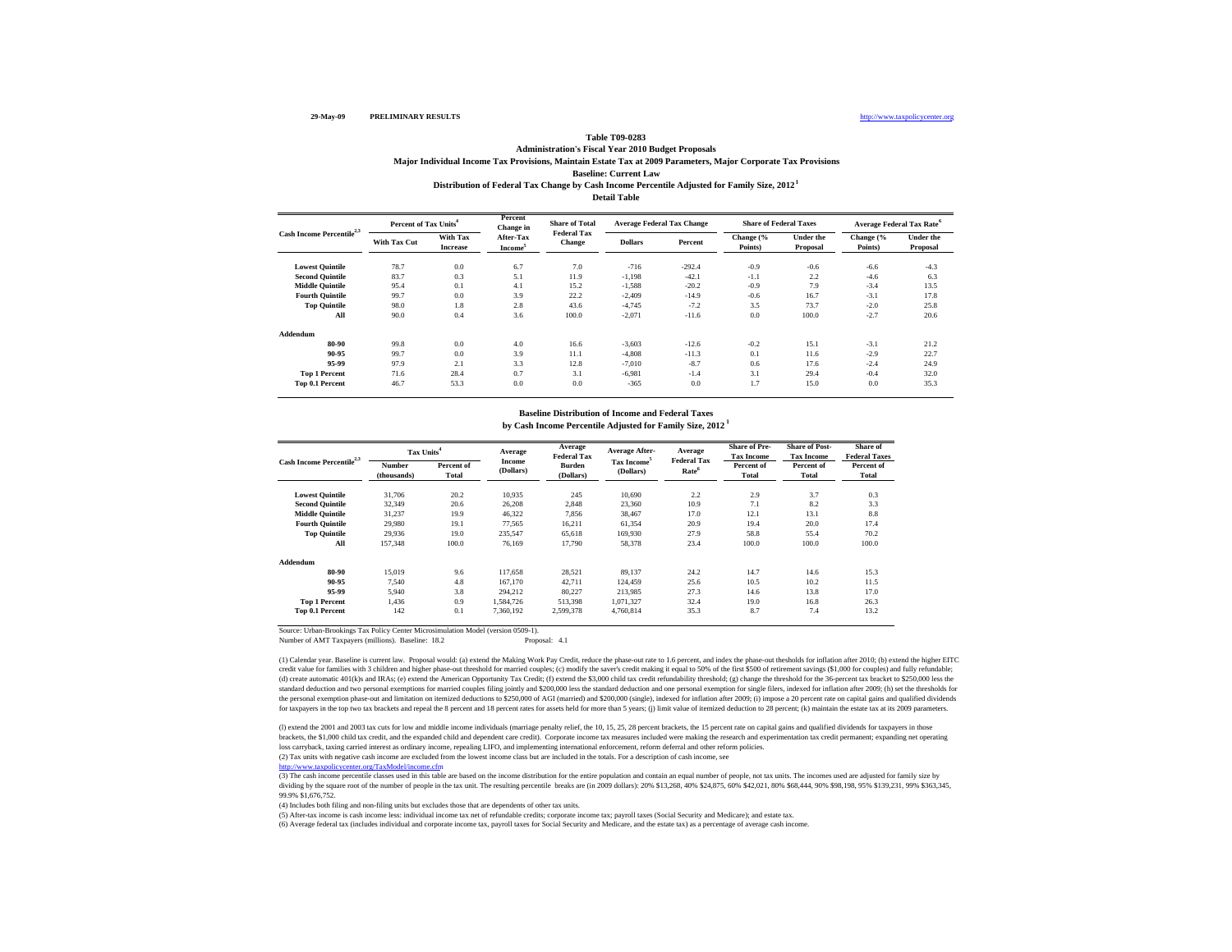### **Detail TableBaseline: Current Law Distribution of Federal Tax Change by Cash Income Percentile Adjusted for Family Size, 2012 1 Table T09-0283 Administration's Fiscal Year 2010 Budget Proposals Major Individual Income Tax Provisions, Maintain Estate Tax at 2009 Parameters, Major Corporate Tax Provisions**

| Cash Income Percentile <sup>2,3</sup> | Percent of Tax Units <sup>4</sup> |                                    | Percent<br>Change in             | <b>Share of Total</b><br><b>Federal Tax</b> | <b>Average Federal Tax Change</b> |          | <b>Share of Federal Taxes</b> |                       | <b>Average Federal Tax Rate<sup>6</sup></b> |                              |  |
|---------------------------------------|-----------------------------------|------------------------------------|----------------------------------|---------------------------------------------|-----------------------------------|----------|-------------------------------|-----------------------|---------------------------------------------|------------------------------|--|
|                                       | <b>With Tax Cut</b>               | <b>With Tax</b><br><b>Increase</b> | After-Tax<br>Income <sup>5</sup> | <b>Change</b>                               | <b>Dollars</b>                    | Percent  | Change (%<br>Points)          | Under the<br>Proposal | Change (%<br>Points)                        | <b>Under the</b><br>Proposal |  |
| <b>Lowest Quintile</b>                | 78.7                              | 0.0                                | 6.7                              | 7.0                                         | $-716$                            | $-292.4$ | $-0.9$                        | $-0.6$                | $-6.6$                                      | $-4.3$                       |  |
| <b>Second Quintile</b>                | 83.7                              | 0.3                                | 5.1                              | 11.9                                        | $-1,198$                          | $-42.1$  | $-1.1$                        | 2.2                   | $-4.6$                                      | 6.3                          |  |
| <b>Middle Quintile</b>                | 95.4                              | 0.1                                | 4.1                              | 15.2                                        | $-1,588$                          | $-20.2$  | $-0.9$                        | 7.9                   | $-3.4$                                      | 13.5                         |  |
| <b>Fourth Quintile</b>                | 99.7                              | 0.0                                | 3.9                              | 22.2                                        | $-2,409$                          | $-14.9$  | $-0.6$                        | 16.7                  | $-3.1$                                      | 17.8                         |  |
| <b>Top Quintile</b>                   | 98.0                              | 1.8                                | 2.8                              | 43.6                                        | $-4.745$                          | $-7.2$   | 3.5                           | 73.7                  | $-2.0$                                      | 25.8                         |  |
| All                                   | 90.0                              | 0.4                                | 3.6                              | 100.0                                       | $-2,071$                          | $-11.6$  | 0.0                           | 100.0                 | $-2.7$                                      | 20.6                         |  |
| Addendum                              |                                   |                                    |                                  |                                             |                                   |          |                               |                       |                                             |                              |  |
| 80-90                                 | 99.8                              | 0.0                                | 4.0                              | 16.6                                        | $-3,603$                          | $-12.6$  | $-0.2$                        | 15.1                  | $-3.1$                                      | 21.2                         |  |
| 90-95                                 | 99.7                              | 0.0                                | 3.9                              | 11.1                                        | $-4,808$                          | $-11.3$  | 0.1                           | 11.6                  | $-2.9$                                      | 22.7                         |  |
| 95-99                                 | 97.9                              | 2.1                                | 3.3                              | 12.8                                        | $-7,010$                          | $-8.7$   | 0.6                           | 17.6                  | $-2.4$                                      | 24.9                         |  |
| <b>Top 1 Percent</b>                  | 71.6                              | 28.4                               | 0.7                              | 3.1                                         | $-6,981$                          | $-1.4$   | 3.1                           | 29.4                  | $-0.4$                                      | 32.0                         |  |
| Top 0.1 Percent                       | 46.7                              | 53.3                               | 0.0                              | 0.0                                         | $-365$                            | 0.0      | 1.7                           | 15.0                  | 0.0                                         | 35.3                         |  |

## **Baseline Distribution of Income and Federal Taxes**

**by Cash Income Percentile Adjusted for Family Size, 2012 1**

| Cash Income Percentile <sup>2,3</sup> |                       | Tax Units <sup>4</sup> |                     | Average<br><b>Federal Tax</b> | <b>Average After-</b>                | Average<br><b>Federal Tax</b> | <b>Share of Pre-</b><br><b>Tax Income</b> | <b>Share of Post-</b><br><b>Tax Income</b> | Share of<br><b>Federal Taxes</b> |
|---------------------------------------|-----------------------|------------------------|---------------------|-------------------------------|--------------------------------------|-------------------------------|-------------------------------------------|--------------------------------------------|----------------------------------|
|                                       | Number<br>(thousands) | Percent of<br>Total    | Income<br>(Dollars) | Burden<br>(Dollars)           | Tax Income <sup>5</sup><br>(Dollars) | Rate <sup>6</sup>             | Percent of<br><b>Total</b>                | Percent of<br><b>Total</b>                 | Percent of<br>Total              |
| <b>Lowest Quintile</b>                | 31,706                | 20.2                   | 10,935              | 245                           | 10,690                               | 2.2                           | 2.9                                       | 3.7                                        | 0.3                              |
| <b>Second Quintile</b>                | 32,349                | 20.6                   | 26,208              | 2,848                         | 23,360                               | 10.9                          | 7.1                                       | 8.2                                        | 3.3                              |
| <b>Middle Quintile</b>                | 31.237                | 19.9                   | 46,322              | 7,856                         | 38,467                               | 17.0                          | 12.1                                      | 13.1                                       | 8.8                              |
| <b>Fourth Ouintile</b>                | 29,980                | 19.1                   | 77.565              | 16,211                        | 61,354                               | 20.9                          | 19.4                                      | 20.0                                       | 17.4                             |
| <b>Top Quintile</b>                   | 29,936                | 19.0                   | 235,547             | 65,618                        | 169,930                              | 27.9                          | 58.8                                      | 55.4                                       | 70.2                             |
| All                                   | 157,348               | 100.0                  | 76.169              | 17,790                        | 58,378                               | 23.4                          | 100.0                                     | 100.0                                      | 100.0                            |
| Addendum                              |                       |                        |                     |                               |                                      |                               |                                           |                                            |                                  |
| 80-90                                 | 15.019                | 9.6                    | 117,658             | 28,521                        | 89,137                               | 24.2                          | 14.7                                      | 14.6                                       | 15.3                             |
| 90-95                                 | 7.540                 | 4.8                    | 167,170             | 42,711                        | 124.459                              | 25.6                          | 10.5                                      | 10.2                                       | 11.5                             |
| 95-99                                 | 5.940                 | 3.8                    | 294.212             | 80,227                        | 213.985                              | 27.3                          | 14.6                                      | 13.8                                       | 17.0                             |
| <b>Top 1 Percent</b>                  | 1.436                 | 0.9                    | 1.584.726           | 513,398                       | 1.071.327                            | 32.4                          | 19.0                                      | 16.8                                       | 26.3                             |
| Top 0.1 Percent                       | 142                   | 0.1                    | 7.360.192           | 2.599.378                     | 4.760.814                            | 35.3                          | 8.7                                       | 7.4                                        | 13.2                             |

Source: Urban-Brookings Tax Policy Center Microsimulation Model (version 0509-1).

Number of AMT Taxpayers (millions). Baseline: 18.2 Proposal: 4.1

(1) Calendar year. Baseline is current law. Proposal would: (a) extend the Making Work Pay Credit, reduce the phase-out rate to 1.6 percent, and index the phase-out thesholds for inflation after 2010; (b) extend the higher credit value for families with 3 children and higher phase-out threshold for married couples; (c) modify the saver's credit making it equal to 50% of the first \$500 of retirement savings (\$1,000 for couples) and fully refu (d) create automatic 401(k)s and IRAs; (e) extend the American Opportunity Tax Credit; (f) extend the \$3,000 child tax credit refundability threshold; (g) change the threshold for the 36-percent tax bracket to \$250,000 les standard deduction and two personal exemptions for married couples filing jointly and \$200,000 less the standard deduction and one personal exemption for single filers, indexed for inflation after 2009; (h) set the thresho the personal exemption phase-out and limitation on itemized deductions to \$250,000 of AGI (married) and \$200,000 (single), indexed for inflation after 2009; (i) impose a 20 percent rate on capital gains and qualified divid for taxpayers in the top two tax brackets and repeal the 8 percent and 18 percent rates for assets held for more than 5 years; (i) limit value of itemized deduction to 28 percent; (k) maintain the estate tax at its 2009 pa

loss carryback, taxing carried interest as ordinary income, repealing LIFO, and implementing international enforcement, reform deferral and other reform policies.<br>(2) Tax units with negative cash income are excluded from t (l) extend the 2001 and 2003 tax cuts for low and middle income individuals (marriage penalty relief, the 10, 15, 25, 28 percent brackets, the 15 percent rate on capital gains and qualified dividends for taxpayers in those brackets, the \$1,000 child tax credit, and the expanded child and dependent care credit). Corporate income tax measures included were making the research and experimentation tax credit permanent; expanding net operating

 $h_{\text{H}}$  taxpolicycenter.org/TaxModel/income

(3) The cash income percentile classes used in this table are based on the income distribution for the entire population and contain an equal number of people, not tax units. The incomes used are adjusted for family size b dividing by the square root of the number of people in the tax unit. The resulting percentile breaks are (in 2009 dollars): 20% \$13,268, 40% \$24,875, 60% \$42,021, 80% \$68,444, 90% \$98,198, 95% \$139,231, 99% \$363,345, 99.9% \$1,676,752.

(4) Includes both filing and non-filing units but excludes those that are dependents of other tax units.

(5) After-tax income is cash income less: individual income tax net of refundable credits; corporate income tax; payroll taxes (Social Security and Medicare); and estate tax.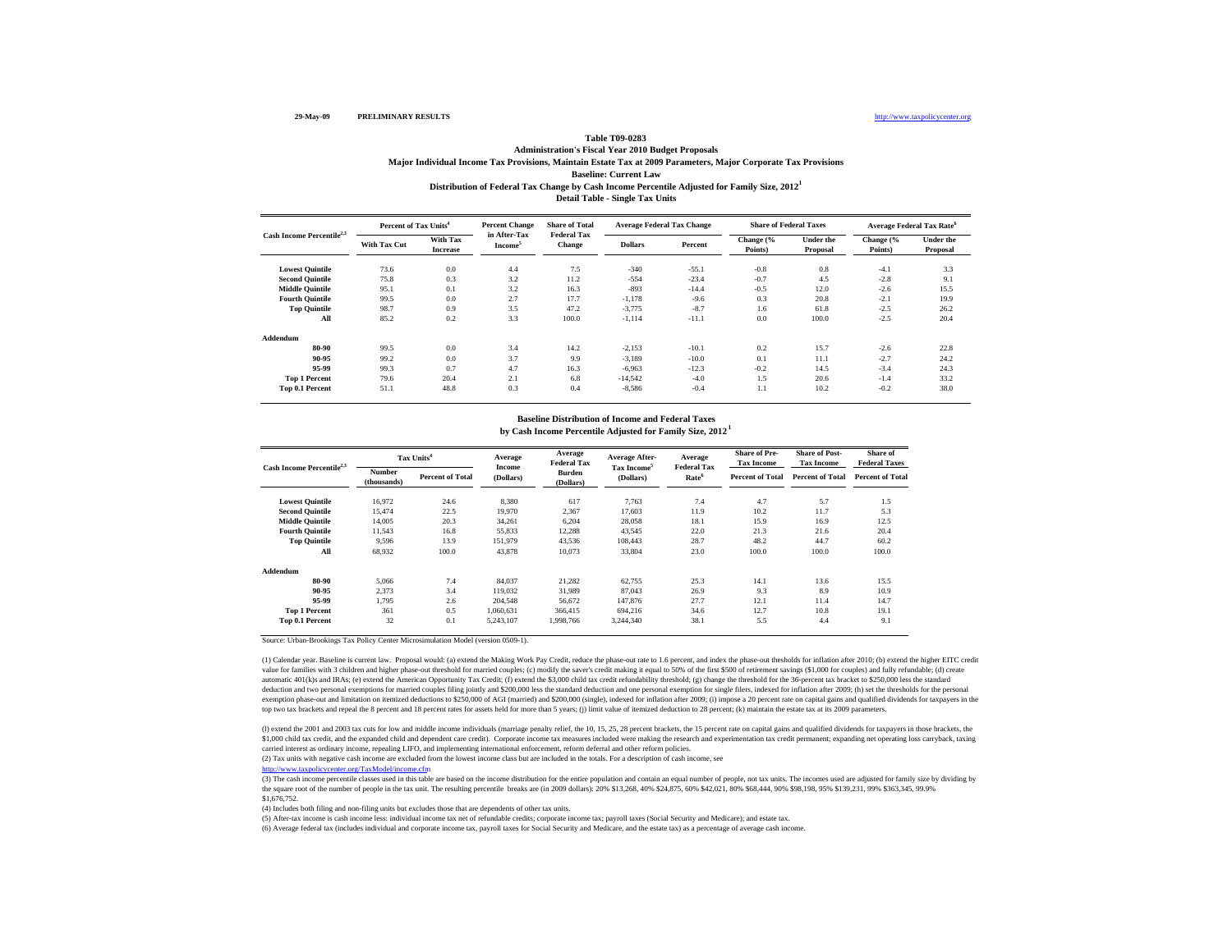## **Table T09-0283**

## **Baseline: Current LawDistribution of Federal Tax Change by Cash Income Percentile Adjusted for Family Size, 2012 1 Administration's Fiscal Year 2010 Budget Proposals Major Individual Income Tax Provisions, Maintain Estate Tax at 2009 Parameters, Major Corporate Tax Provisions**

**Detail Table - Single Tax Units**

| Cash Income Percentile <sup>2,3</sup> |              | <b>Percent Change</b><br>Percent of Tax Units <sup>4</sup> |                                     | <b>Share of Total</b>        | <b>Average Federal Tax Change</b> |         | <b>Share of Federal Taxes</b> |                       | <b>Average Federal Tax Rate<sup>6</sup></b> |                              |
|---------------------------------------|--------------|------------------------------------------------------------|-------------------------------------|------------------------------|-----------------------------------|---------|-------------------------------|-----------------------|---------------------------------------------|------------------------------|
|                                       | With Tax Cut | With Tax<br><b>Increase</b>                                | in After-Tax<br>Income <sup>5</sup> | <b>Federal Tax</b><br>Change | <b>Dollars</b>                    | Percent | Change (%<br>Points)          | Under the<br>Proposal | Change (%<br>Points)                        | <b>Under</b> the<br>Proposal |
| <b>Lowest Quintile</b>                | 73.6         | 0.0                                                        | 4.4                                 | 7.5                          | $-340$                            | $-55.1$ | $-0.8$                        | 0.8                   | $-4.1$                                      | 3.3                          |
| <b>Second Quintile</b>                | 75.8         | 0.3                                                        | 3.2                                 | 11.2                         | $-554$                            | $-23.4$ | $-0.7$                        | 4.5                   | $-2.8$                                      | 9.1                          |
| <b>Middle Quintile</b>                | 95.1         | 0.1                                                        | 3.2                                 | 16.3                         | $-893$                            | $-14.4$ | $-0.5$                        | 12.0                  | $-2.6$                                      | 15.5                         |
| <b>Fourth Quintile</b>                | 99.5         | 0.0                                                        | 2.7                                 | 17.7                         | $-1,178$                          | $-9.6$  | 0.3                           | 20.8                  | $-2.1$                                      | 19.9                         |
| <b>Top Quintile</b>                   | 98.7         | 0.9                                                        | 3.5                                 | 47.2                         | $-3,775$                          | $-8.7$  | 1.6                           | 61.8                  | $-2.5$                                      | 26.2                         |
| All                                   | 85.2         | 0.2                                                        | 3.3                                 | 100.0                        | $-1,114$                          | $-11.1$ | 0.0                           | 100.0                 | $-2.5$                                      | 20.4                         |
| Addendum                              |              |                                                            |                                     |                              |                                   |         |                               |                       |                                             |                              |
| 80-90                                 | 99.5         | 0.0                                                        | 3.4                                 | 14.2                         | $-2,153$                          | $-10.1$ | 0.2                           | 15.7                  | $-2.6$                                      | 22.8                         |
| 90-95                                 | 99.2         | 0.0                                                        | 3.7                                 | 9.9                          | $-3.189$                          | $-10.0$ | 0.1                           | 11.1                  | $-2.7$                                      | 24.2                         |
| 95-99                                 | 99.3         | 0.7                                                        | 4.7                                 | 16.3                         | $-6,963$                          | $-12.3$ | $-0.2$                        | 14.5                  | $-3.4$                                      | 24.3                         |
| <b>Top 1 Percent</b>                  | 79.6         | 20.4                                                       | 2.1                                 | 6.8                          | $-14,542$                         | $-4.0$  | 1.5                           | 20.6                  | $-1.4$                                      | 33.2                         |
| Top 0.1 Percent                       | 51.1         | 48.8                                                       | 0.3                                 | 0.4                          | $-8,586$                          | $-0.4$  | 1.1                           | 10.2                  | $-0.2$                                      | 38.0                         |

#### **by Cash Income Percentile Adjusted for Family Size, 2012 1 Baseline Distribution of Income and Federal Taxes**

| Cash Income Percentile <sup>2,3</sup> |                       | Tax Units <sup>4</sup>  | Average<br>Income | Average<br><b>Federal Tax</b> | <b>Average After-</b>                | Average<br><b>Federal Tax</b> | <b>Share of Pre-</b><br><b>Tax Income</b> | <b>Share of Post-</b><br><b>Tax Income</b> | Share of<br><b>Federal Taxes</b> |
|---------------------------------------|-----------------------|-------------------------|-------------------|-------------------------------|--------------------------------------|-------------------------------|-------------------------------------------|--------------------------------------------|----------------------------------|
|                                       | Number<br>(thousands) | <b>Percent of Total</b> | (Dollars)         | <b>Burden</b><br>(Dollars)    | Tax Income <sup>5</sup><br>(Dollars) | Rate <sup>6</sup>             | <b>Percent of Total</b>                   | <b>Percent of Total</b>                    | <b>Percent of Total</b>          |
| <b>Lowest Quintile</b>                | 16.972                | 24.6                    | 8,380             | 617                           | 7,763                                | 7.4                           | 4.7                                       | 5.7                                        | 1.5                              |
| <b>Second Quintile</b>                | 15.474                | 22.5                    | 19.970            | 2,367                         | 17.603                               | 11.9                          | 10.2                                      | 11.7                                       | 5.3                              |
| <b>Middle Ouintile</b>                | 14,005                | 20.3                    | 34.261            | 6.204                         | 28,058                               | 18.1                          | 15.9                                      | 16.9                                       | 12.5                             |
| <b>Fourth Quintile</b>                | 11,543                | 16.8                    | 55,833            | 12,288                        | 43,545                               | 22.0                          | 21.3                                      | 21.6                                       | 20.4                             |
| <b>Top Quintile</b>                   | 9,596                 | 13.9                    | 151,979           | 43,536                        | 108,443                              | 28.7                          | 48.2                                      | 44.7                                       | 60.2                             |
| All                                   | 68,932                | 100.0                   | 43,878            | 10,073                        | 33,804                               | 23.0                          | 100.0                                     | 100.0                                      | 100.0                            |
| Addendum                              |                       |                         |                   |                               |                                      |                               |                                           |                                            |                                  |
| 80-90                                 | 5.066                 | 7.4                     | 84.037            | 21,282                        | 62,755                               | 25.3                          | 14.1                                      | 13.6                                       | 15.5                             |
| 90-95                                 | 2.373                 | 3.4                     | 119,032           | 31,989                        | 87,043                               | 26.9                          | 9.3                                       | 8.9                                        | 10.9                             |
| 95-99                                 | 1,795                 | 2.6                     | 204.548           | 56,672                        | 147,876                              | 27.7                          | 12.1                                      | 11.4                                       | 14.7                             |
| <b>Top 1 Percent</b>                  | 361                   | 0.5                     | 1.060.631         | 366,415                       | 694.216                              | 34.6                          | 12.7                                      | 10.8                                       | 19.1                             |
| <b>Top 0.1 Percent</b>                | 32                    | 0.1                     | 5,243,107         | 1,998,766                     | 3,244,340                            | 38.1                          | 5.5                                       | 4.4                                        | 9.1                              |

Source: Urban-Brookings Tax Policy Center Microsimulation Model (version 0509-1).

(1) Calendar year. Baseline is current law. Proposal would: (a) extend the Making Work Pay Credit, reduce the phase-out rate to 1.6 percent, and index the phase-out thesholds for inflation after 2010; (b) extend the higher value for families with 3 children and higher phase-out threshold for married couples; (c) modify the saver's credit making it equal to 50% of the first \$500 of retirement savings (\$1,000 for couples) and fully refundable; automatic 401(k)s and IRAs; (e) extend the American Opportunity Tax Credit; (f) extend the \$3,000 child tax credit refundability threshold; (g) change the threshold for the 36-percent tax bracket to \$250,000 less the stand deduction and two personal exemptions for married couples filing jointly and \$200,000 less the standard deduction and one personal exemption for single filers, indexed for inflation after 2009; (h) set the thresholds for t exercitor and limitation on itemized deductions to \$250,000 of AGI (married) and \$200,000 (single), indexed for inflation after 2009; (i) impose a 20 percent rate on capital gains and qualified dividends for taxpayers in t top two tax brackets and repeal the 8 percent and 18 percent rates for assets held for more than 5 years; (j) limit value of itemized deduction to 28 percent; (k) maintain the estate tax at its 2009 parameters.

(I) extend the 2001 and 2003 tax cuts for low and middle income individuals (marriage penalty relief, the 10, 15, 25, 28 percent brackets, the 15 percent rate on capital gains and qualified dividends for taxpayers in those \$1,000 child tax credit, and the expanded child and dependent care credit). Corporate income tax measures included were making the research and experimentation tax credit permanent; expanding net operating loss carryback, carried interest as ordinary income, repealing LIFO, and implementing international enforcement, reform deferral and other reform policies.

(2) Tax units with negative cash income are excluded from the lowest income class but are included in the totals. For a description of cash income, see

http://www.taxpolicycenter.org/TaxModel/income.cfm<br>(3) The cash income percentile classes used in this table are based on the income distribution for the entire population and contain an equal number of people, not tax uni the square root of the number of people in the tax unit. The resulting percentile breaks are (in 2009 dollars): 20% \$13,268, 40% \$24,875, 60% \$42,021, 80% \$68,444, 90% \$68,198, 95% \$139,231, 99% \$363,345, 99.9% \$1,676,752.

(4) Includes both filing and non-filing units but excludes those that are dependents of other tax units.

(5) After-tax income is cash income less: individual income tax net of refundable credits; corporate income tax; payroll taxes (Social Security and Medicare); and estate tax.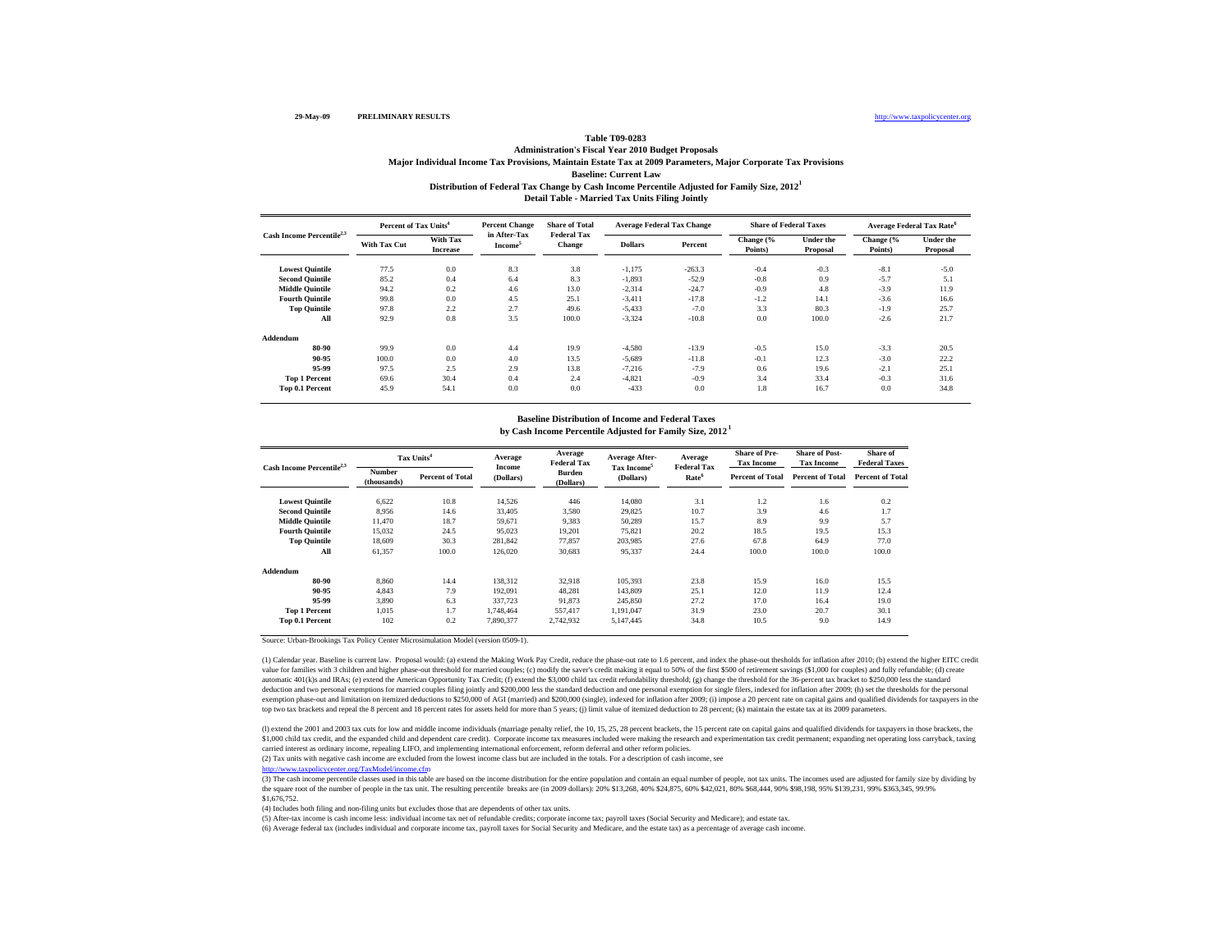### **Baseline: Current LawTable T09-0283 Administration's Fiscal Year 2010 Budget Proposals Major Individual Income Tax Provisions, Maintain Estate Tax at 2009 Parameters, Major Corporate Tax Provisions**

**Distribution of Federal Tax Change by Cash Income Percentile Adjusted for Family Size, 2012 1**

**Detail Table - Married Tax Units Filing Jointly**

| Cash Income Percentile <sup>2,3</sup> | Percent of Tax Units <sup>4</sup> |                             | <b>Percent Change</b>               | <b>Share of Total</b>        | <b>Average Federal Tax Change</b> |          |                      | <b>Share of Federal Taxes</b> | <b>Average Federal Tax Rate<sup>6</sup></b> |                       |
|---------------------------------------|-----------------------------------|-----------------------------|-------------------------------------|------------------------------|-----------------------------------|----------|----------------------|-------------------------------|---------------------------------------------|-----------------------|
|                                       | With Tax Cut                      | With Tax<br><b>Increase</b> | in After-Tax<br>Income <sup>5</sup> | <b>Federal Tax</b><br>Change | <b>Dollars</b>                    | Percent  | Change (%<br>Points) | Under the<br>Proposal         | Change (%<br>Points)                        | Under the<br>Proposal |
| <b>Lowest Quintile</b>                | 77.5                              | 0.0                         | 8.3                                 | 3.8                          | $-1,175$                          | $-263.3$ | $-0.4$               | $-0.3$                        | $-8.1$                                      | $-5.0$                |
| <b>Second Quintile</b>                | 85.2                              | 0.4                         | 6.4                                 | 8.3                          | $-1,893$                          | $-52.9$  | $-0.8$               | 0.9                           | $-5.7$                                      | 5.1                   |
| <b>Middle Quintile</b>                | 94.2                              | 0.2                         | 4.6                                 | 13.0                         | $-2,314$                          | $-24.7$  | $-0.9$               | 4.8                           | $-3.9$                                      | 11.9                  |
| <b>Fourth Quintile</b>                | 99.8                              | 0.0                         | 4.5                                 | 25.1                         | $-3,411$                          | $-17.8$  | $-1.2$               | 14.1                          | $-3.6$                                      | 16.6                  |
| <b>Top Quintile</b>                   | 97.8                              | 2.2                         | 2.7                                 | 49.6                         | $-5,433$                          | $-7.0$   | 3.3                  | 80.3                          | $-1.9$                                      | 25.7                  |
| All                                   | 92.9                              | 0.8                         | 3.5                                 | 100.0                        | $-3.324$                          | $-10.8$  | 0.0                  | 100.0                         | $-2.6$                                      | 21.7                  |
| Addendum                              |                                   |                             |                                     |                              |                                   |          |                      |                               |                                             |                       |
| 80-90                                 | 99.9                              | 0.0                         | 4.4                                 | 19.9                         | $-4.580$                          | $-13.9$  | $-0.5$               | 15.0                          | $-3.3$                                      | 20.5                  |
| 90-95                                 | 100.0                             | 0.0                         | 4.0                                 | 13.5                         | $-5,689$                          | $-11.8$  | $-0.1$               | 12.3                          | $-3.0$                                      | 22.2                  |
| 95-99                                 | 97.5                              | 2.5                         | 2.9                                 | 13.8                         | $-7,216$                          | $-7.9$   | 0.6                  | 19.6                          | $-2.1$                                      | 25.1                  |
| <b>Top 1 Percent</b>                  | 69.6                              | 30.4                        | 0.4                                 | 2.4                          | $-4,821$                          | $-0.9$   | 3.4                  | 33.4                          | $-0.3$                                      | 31.6                  |
| Top 0.1 Percent                       | 45.9                              | 54.1                        | 0.0                                 | 0.0                          | $-433$                            | 0.0      | 1.8                  | 16.7                          | 0.0                                         | 34.8                  |

#### **by Cash Income Percentile Adjusted for Family Size, 2012 1 Baseline Distribution of Income and Federal Taxes**

| Cash Income Percentile <sup>2,3</sup> |                       | Tax Units <sup>4</sup>  | Average<br>Income | Average<br><b>Federal Tax</b> | Average After-<br>Tax Income <sup>5</sup> | Average<br><b>Federal Tax</b> | <b>Share of Pre-</b><br><b>Tax Income</b> | <b>Share of Post-</b><br><b>Tax Income</b> | Share of<br><b>Federal Taxes</b> |
|---------------------------------------|-----------------------|-------------------------|-------------------|-------------------------------|-------------------------------------------|-------------------------------|-------------------------------------------|--------------------------------------------|----------------------------------|
|                                       | Number<br>(thousands) | <b>Percent of Total</b> | (Dollars)         | <b>Burden</b><br>(Dollars)    | (Dollars)                                 | Rate <sup>6</sup>             | <b>Percent of Total</b>                   | <b>Percent of Total</b>                    | <b>Percent of Total</b>          |
| <b>Lowest Quintile</b>                | 6.622                 | 10.8                    | 14,526            | 446                           | 14,080                                    | 3.1                           | 1.2                                       | 1.6                                        | 0.2                              |
| <b>Second Quintile</b>                | 8,956                 | 14.6                    | 33,405            | 3,580                         | 29,825                                    | 10.7                          | 3.9                                       | 4.6                                        | 1.7                              |
| <b>Middle Ouintile</b>                | 11.470                | 18.7                    | 59.671            | 9.383                         | 50,289                                    | 15.7                          | 8.9                                       | 9.9                                        | 5.7                              |
| <b>Fourth Quintile</b>                | 15,032                | 24.5                    | 95.023            | 19.201                        | 75.821                                    | 20.2                          | 18.5                                      | 19.5                                       | 15.3                             |
| <b>Top Quintile</b>                   | 18,609                | 30.3                    | 281,842           | 77,857                        | 203,985                                   | 27.6                          | 67.8                                      | 64.9                                       | 77.0                             |
| All                                   | 61,357                | 100.0                   | 126,020           | 30,683                        | 95,337                                    | 24.4                          | 100.0                                     | 100.0                                      | 100.0                            |
| Addendum                              |                       |                         |                   |                               |                                           |                               |                                           |                                            |                                  |
| 80-90                                 | 8,860                 | 14.4                    | 138,312           | 32,918                        | 105,393                                   | 23.8                          | 15.9                                      | 16.0                                       | 15.5                             |
| 90-95                                 | 4,843                 | 7.9                     | 192,091           | 48,281                        | 143,809                                   | 25.1                          | 12.0                                      | 11.9                                       | 12.4                             |
| 95-99                                 | 3,890                 | 6.3                     | 337,723           | 91,873                        | 245,850                                   | 27.2                          | 17.0                                      | 16.4                                       | 19.0                             |
| <b>Top 1 Percent</b>                  | 1,015                 | 1.7                     | 1.748.464         | 557,417                       | 1,191,047                                 | 31.9                          | 23.0                                      | 20.7                                       | 30.1                             |
| Top 0.1 Percent                       | 102                   | 0.2                     | 7,890,377         | 2,742,932                     | 5,147,445                                 | 34.8                          | 10.5                                      | 9.0                                        | 14.9                             |

Source: Urban-Brookings Tax Policy Center Microsimulation Model (version 0509-1).

(1) Calendar year. Baseline is current law. Proposal would: (a) extend the Making Work Pay Credit, reduce the phase-out rate to 1.6 percent, and index the phase-out thesholds for inflation after 2010; (b) extend the higher value for families with 3 children and higher phase-out threshold for married couples; (c) modify the saver's credit making it equal to 50% of the first \$500 of retirement savings (\$1,000 for couples) and fully refundable; automatic 401(k)s and IRAs; (e) extend the American Opportunity Tax Credit; (f) extend the \$3,000 child tax credit refundability threshold; (g) change the threshold for the 36-percent tax bracket to \$250,000 less the stand deduction and two personal exemptions for married couples filing jointly and \$200,000 less the standard deduction and one personal exemption for single filers, indexed for inflation after 2009; (h) set the thresholds for t exercitor and limitation on itemized deductions to \$250,000 of AGI (married) and \$200,000 (single), indexed for inflation after 2009; (i) impose a 20 percent rate on capital gains and qualified dividends for taxpayers in t top two tax brackets and repeal the 8 percent and 18 percent rates for assets held for more than 5 years; (j) limit value of itemized deduction to 28 percent; (k) maintain the estate tax at its 2009 parameters.

(I) extend the 2001 and 2003 tax cuts for low and middle income individuals (marriage penalty relief, the 10, 15, 25, 28 percent brackets, the 15 percent rate on capital gains and qualified dividends for taxpayers in those \$1,000 child tax credit, and the expanded child and dependent care credit). Corporate income tax measures included were making the research and experimentation tax credit permanent; expanding net operating loss carryback, carried interest as ordinary income, repealing LIFO, and implementing international enforcement, reform deferral and other reform policies.

(2) Tax units with negative cash income are excluded from the lowest income class but are included in the totals. For a description of cash income, see

http://www.taxpolicycenter.org/TaxModel/income.cfm<br>(3) The cash income percentile classes used in this table are based on the income distribution for the entire population and contain an equal number of people, not tax uni the square root of the number of people in the tax unit. The resulting percentile breaks are (in 2009 dollars): 20% \$13,268, 40% \$24,875, 60% \$42,021, 80% \$68,444, 90% \$68,198, 95% \$139,231, 99% \$363,345, 99.9% \$1,676,752.

(4) Includes both filing and non-filing units but excludes those that are dependents of other tax units.

(5) After-tax income is cash income less: individual income tax net of refundable credits; corporate income tax; payroll taxes (Social Security and Medicare); and estate tax.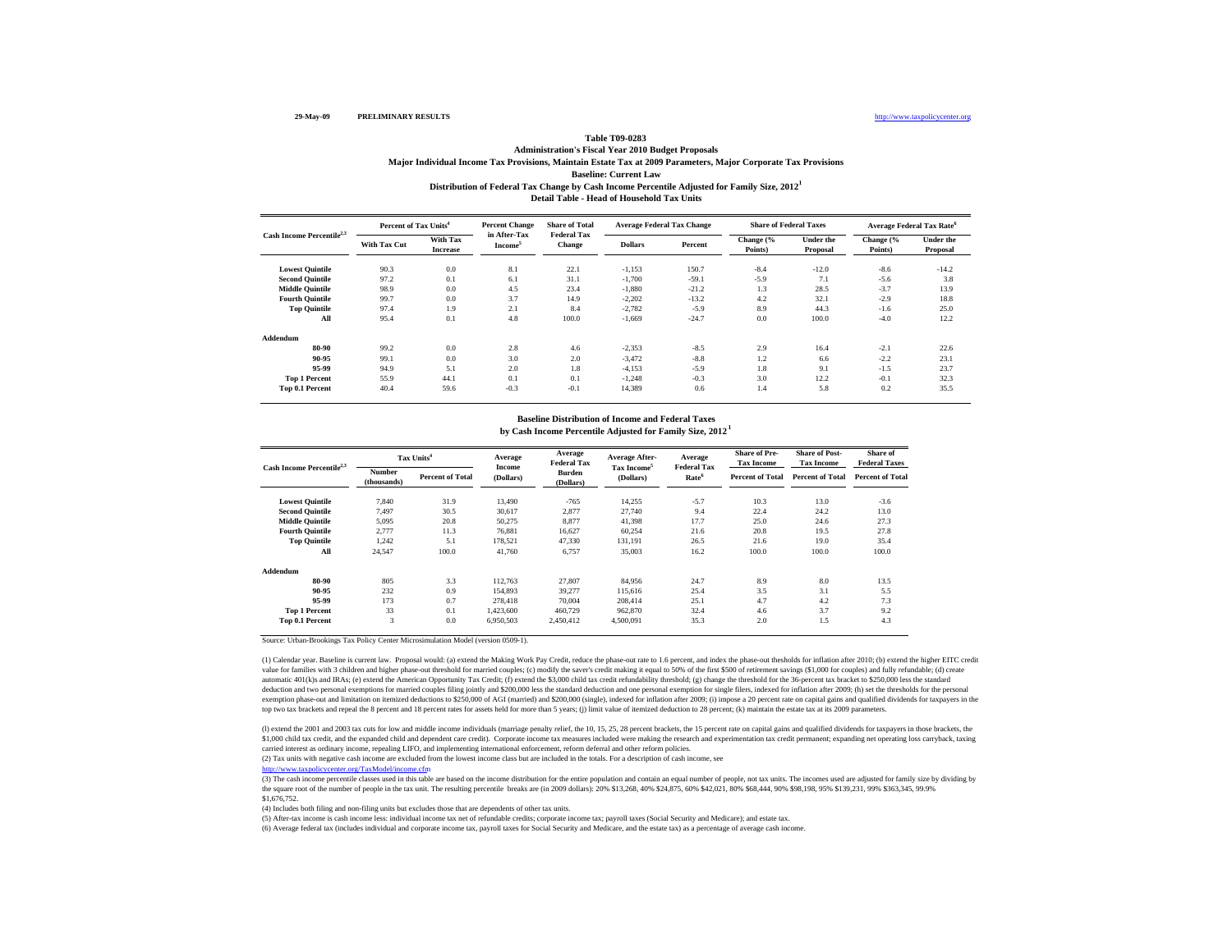### **Table T09-0283Administration's Fiscal Year 2010 Budget Proposals**

**Baseline: Current LawDistribution of Federal Tax Change by Cash Income Percentile Adjusted for Family Size, 2012 1 Major Individual Income Tax Provisions, Maintain Estate Tax at 2009 Parameters, Major Corporate Tax Provisions**

**Detail Table - Head of Household Tax Units**

| Cash Income Percentile <sup>2,3</sup> | Percent of Tax Units <sup>4</sup> |                             | <b>Percent Change</b>               | <b>Share of Total</b>        | <b>Average Federal Tax Change</b> |         | <b>Share of Federal Taxes</b> |                              | <b>Average Federal Tax Rate<sup>6</sup></b> |                       |
|---------------------------------------|-----------------------------------|-----------------------------|-------------------------------------|------------------------------|-----------------------------------|---------|-------------------------------|------------------------------|---------------------------------------------|-----------------------|
|                                       | With Tax Cut                      | With Tax<br><b>Increase</b> | in After-Tax<br>Income <sup>5</sup> | <b>Federal Tax</b><br>Change | <b>Dollars</b>                    | Percent | Change (%<br>Points)          | <b>Under the</b><br>Proposal | Change (%<br>Points)                        | Under the<br>Proposal |
| <b>Lowest Quintile</b>                | 90.3                              | 0.0                         | 8.1                                 | 22.1                         | $-1,153$                          | 150.7   | $-8.4$                        | $-12.0$                      | $-8.6$                                      | $-14.2$               |
| <b>Second Quintile</b>                | 97.2                              | 0.1                         | 6.1                                 | 31.1                         | $-1,700$                          | $-59.1$ | $-5.9$                        | 7.1                          | $-5.6$                                      | 3.8                   |
| <b>Middle Quintile</b>                | 98.9                              | 0.0                         | 4.5                                 | 23.4                         | $-1,880$                          | $-21.2$ | 1.3                           | 28.5                         | $-3.7$                                      | 13.9                  |
| <b>Fourth Quintile</b>                | 99.7                              | 0.0                         | 3.7                                 | 14.9                         | $-2,202$                          | $-13.2$ | 4.2                           | 32.1                         | $-2.9$                                      | 18.8                  |
| <b>Top Quintile</b>                   | 97.4                              | 1.9                         | 2.1                                 | 8.4                          | $-2,782$                          | $-5.9$  | 8.9                           | 44.3                         | $-1.6$                                      | 25.0                  |
| All                                   | 95.4                              | 0.1                         | 4.8                                 | 100.0                        | $-1,669$                          | $-24.7$ | 0.0                           | 100.0                        | $-4.0$                                      | 12.2                  |
| Addendum                              |                                   |                             |                                     |                              |                                   |         |                               |                              |                                             |                       |
| 80-90                                 | 99.2                              | 0.0                         | 2.8                                 | 4.6                          | $-2,353$                          | $-8.5$  | 2.9                           | 16.4                         | $-2.1$                                      | 22.6                  |
| 90-95                                 | 99.1                              | 0.0                         | 3.0                                 | 2.0                          | $-3,472$                          | $-8.8$  | 1.2                           | 6.6                          | $-2.2$                                      | 23.1                  |
| 95-99                                 | 94.9                              | 5.1                         | 2.0                                 | 1.8                          | $-4,153$                          | $-5.9$  | 1.8                           | 9.1                          | $-1.5$                                      | 23.7                  |
| <b>Top 1 Percent</b>                  | 55.9                              | 44.1                        | 0.1                                 | 0.1                          | $-1,248$                          | $-0.3$  | 3.0                           | 12.2                         | $-0.1$                                      | 32.3                  |
| Top 0.1 Percent                       | 40.4                              | 59.6                        | $-0.3$                              | $-0.1$                       | 14,389                            | 0.6     | 1.4                           | 5.8                          | 0.2                                         | 35.5                  |

#### **by Cash Income Percentile Adjusted for Family Size, 2012 1 Baseline Distribution of Income and Federal Taxes**

| Cash Income Percentile <sup>2,3</sup> |                       | Tax Units <sup>4</sup>  | Average<br>Income | Average<br><b>Federal Tax</b> | Average After-                       | Average<br><b>Federal Tax</b> | <b>Share of Pre-</b><br><b>Tax Income</b> | <b>Share of Post-</b><br><b>Tax Income</b> | Share of<br><b>Federal Taxes</b> |
|---------------------------------------|-----------------------|-------------------------|-------------------|-------------------------------|--------------------------------------|-------------------------------|-------------------------------------------|--------------------------------------------|----------------------------------|
|                                       | Number<br>(thousands) | <b>Percent of Total</b> | (Dollars)         | <b>Burden</b><br>(Dollars)    | Tax Income <sup>5</sup><br>(Dollars) | Rate <sup>6</sup>             | <b>Percent of Total</b>                   | <b>Percent of Total</b>                    | <b>Percent of Total</b>          |
| <b>Lowest Quintile</b>                | 7.840                 | 31.9                    | 13,490            | $-765$                        | 14,255                               | $-5.7$                        | 10.3                                      | 13.0                                       | $-3.6$                           |
| <b>Second Quintile</b>                | 7,497                 | 30.5                    | 30,617            | 2,877                         | 27,740                               | 9.4                           | 22.4                                      | 24.2                                       | 13.0                             |
| <b>Middle Ouintile</b>                | 5,095                 | 20.8                    | 50,275            | 8,877                         | 41,398                               | 17.7                          | 25.0                                      | 24.6                                       | 27.3                             |
| <b>Fourth Quintile</b>                | 2.777                 | 11.3                    | 76,881            | 16.627                        | 60,254                               | 21.6                          | 20.8                                      | 19.5                                       | 27.8                             |
| <b>Top Quintile</b>                   | 1.242                 | 5.1                     | 178.521           | 47.330                        | 131.191                              | 26.5                          | 21.6                                      | 19.0                                       | 35.4                             |
| All                                   | 24,547                | 100.0                   | 41.760            | 6,757                         | 35,003                               | 16.2                          | 100.0                                     | 100.0                                      | 100.0                            |
| Addendum                              |                       |                         |                   |                               |                                      |                               |                                           |                                            |                                  |
| 80-90                                 | 805                   | 3.3                     | 112.763           | 27,807                        | 84.956                               | 24.7                          | 8.9                                       | 8.0                                        | 13.5                             |
| 90-95                                 | 232                   | 0.9                     | 154,893           | 39,277                        | 115,616                              | 25.4                          | 3.5                                       | 3.1                                        | 5.5                              |
| 95-99                                 | 173                   | 0.7                     | 278,418           | 70,004                        | 208,414                              | 25.1                          | 4.7                                       | 4.2                                        | 7.3                              |
| <b>Top 1 Percent</b>                  | 33                    | 0.1                     | 1,423,600         | 460,729                       | 962,870                              | 32.4                          | 4.6                                       | 3.7                                        | 9.2                              |
| Top 0.1 Percent                       | 3                     | 0.0                     | 6,950,503         | 2,450,412                     | 4,500,091                            | 35.3                          | 2.0                                       | 1.5                                        | 4.3                              |

Source: Urban-Brookings Tax Policy Center Microsimulation Model (version 0509-1).

(1) Calendar year. Baseline is current law. Proposal would: (a) extend the Making Work Pay Credit, reduce the phase-out rate to 1.6 percent, and index the phase-out thesholds for inflation after 2010; (b) extend the higher value for families with 3 children and higher phase-out threshold for married couples; (c) modify the saver's credit making it equal to 50% of the first \$500 of retirement savings (\$1,000 for couples) and fully refundable; automatic 401(k)s and IRAs; (e) extend the American Opportunity Tax Credit; (f) extend the \$3,000 child tax credit refundability threshold; (g) change the threshold for the 36-percent tax bracket to \$250,000 less the stand deduction and two personal exemptions for married couples filing jointly and \$200,000 less the standard deduction and one personal exemption for single filers, indexed for inflation after 2009; (h) set the thresholds for t exercitor and limitation on itemized deductions to \$250,000 of AGI (married) and \$200,000 (single), indexed for inflation after 2009; (i) impose a 20 percent rate on capital gains and qualified dividends for taxpayers in t top two tax brackets and repeal the 8 percent and 18 percent rates for assets held for more than 5 years; (j) limit value of itemized deduction to 28 percent; (k) maintain the estate tax at its 2009 parameters.

(I) extend the 2001 and 2003 tax cuts for low and middle income individuals (marriage penalty relief, the 10, 15, 25, 28 percent brackets, the 15 percent rate on capital gains and qualified dividends for taxpayers in those \$1,000 child tax credit, and the expanded child and dependent care credit). Corporate income tax measures included were making the research and experimentation tax credit permanent; expanding net operating loss carryback, carried interest as ordinary income, repealing LIFO, and implementing international enforcement, reform deferral and other reform policies.

(2) Tax units with negative cash income are excluded from the lowest income class but are included in the totals. For a description of cash income, see

http://www.taxpolicycenter.org/TaxModel/income.cfm<br>(3) The cash income percentile classes used in this table are based on the income distribution for the entire population and contain an equal number of people, not tax uni the square root of the number of people in the tax unit. The resulting percentile breaks are (in 2009 dollars): 20% \$13,268, 40% \$24,875, 60% \$42,021, 80% \$68,444, 90% \$68,198, 95% \$139,231, 99% \$363,345, 99.9% \$1,676,752.

(4) Includes both filing and non-filing units but excludes those that are dependents of other tax units.

(5) After-tax income is cash income less: individual income tax net of refundable credits; corporate income tax; payroll taxes (Social Security and Medicare); and estate tax.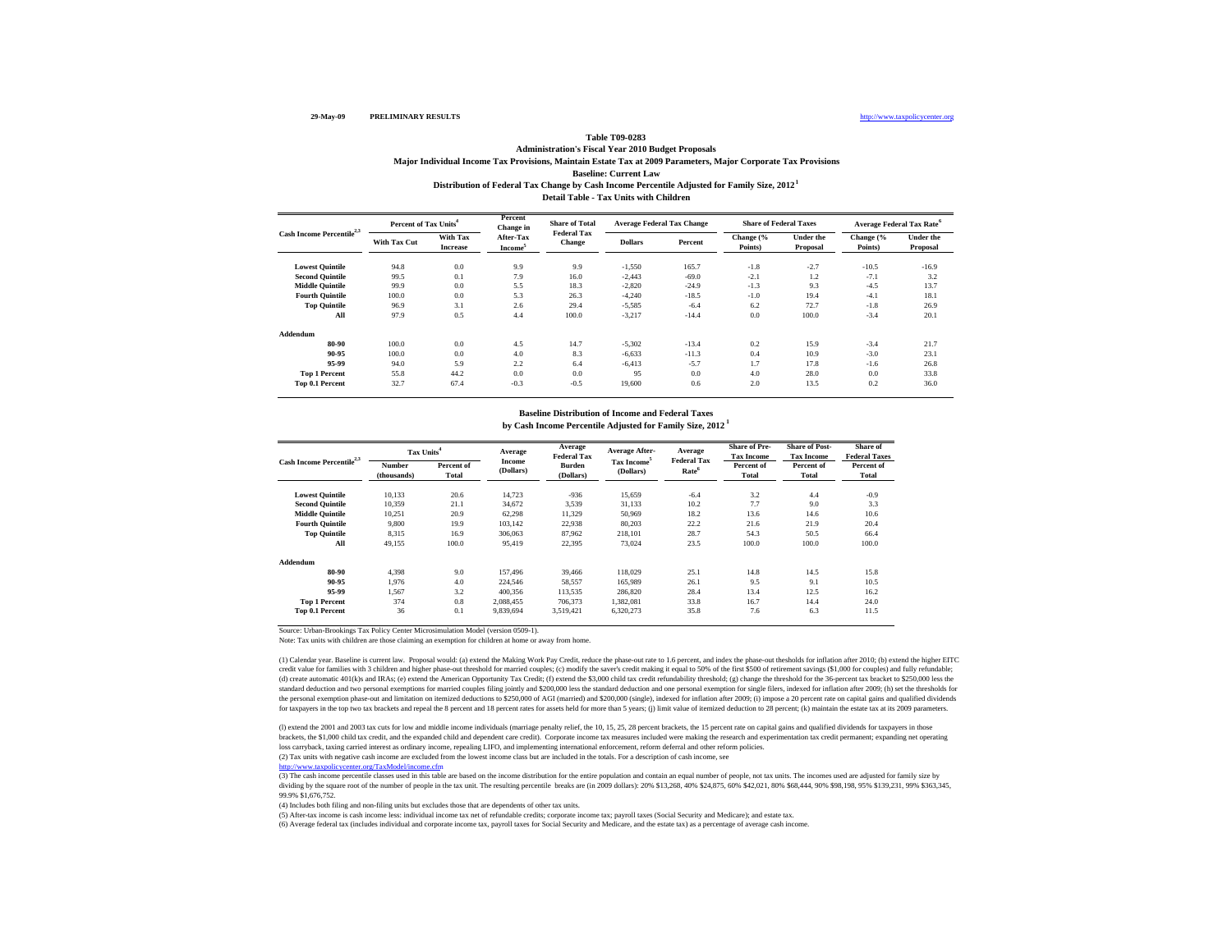### **Detail Table - Tax Units with ChildrenBaseline: Current Law Distribution of Federal Tax Change by Cash Income Percentile Adjusted for Family Size, 2012 1 Table T09-0283 Administration's Fiscal Year 2010 Budget Proposals Major Individual Income Tax Provisions, Maintain Estate Tax at 2009 Parameters, Major Corporate Tax Provisions**

| Cash Income Percentile <sup>2,3</sup> | Percent of Tax Units <sup>4</sup> |                                    | Percent<br>Change in             | <b>Share of Total</b>               |                | Average Federal Tax Change | <b>Share of Federal Taxes</b> |                              |                      | <b>Average Federal Tax Rate<sup>6</sup></b> |
|---------------------------------------|-----------------------------------|------------------------------------|----------------------------------|-------------------------------------|----------------|----------------------------|-------------------------------|------------------------------|----------------------|---------------------------------------------|
|                                       | <b>With Tax Cut</b>               | <b>With Tax</b><br><b>Increase</b> | After-Tax<br>Income <sup>5</sup> | <b>Federal Tax</b><br><b>Change</b> | <b>Dollars</b> | Percent                    | Change (%<br>Points)          | <b>Under the</b><br>Proposal | Change (%<br>Points) | <b>Under the</b><br>Proposal                |
| <b>Lowest Quintile</b>                | 94.8                              | 0.0                                | 9.9                              | 9.9                                 | $-1,550$       | 165.7                      | $-1.8$                        | $-2.7$                       | $-10.5$              | $-16.9$                                     |
| <b>Second Quintile</b>                | 99.5                              | 0.1                                | 7.9                              | 16.0                                | $-2,443$       | $-69.0$                    | $-2.1$                        | 1.2                          | $-7.1$               | 3.2                                         |
| <b>Middle Quintile</b>                | 99.9                              | 0.0                                | 5.5                              | 18.3                                | $-2,820$       | $-24.9$                    | $-1.3$                        | 9.3                          | $-4.5$               | 13.7                                        |
| <b>Fourth Quintile</b>                | 100.0                             | 0.0                                | 5.3                              | 26.3                                | $-4,240$       | $-18.5$                    | $-1.0$                        | 19.4                         | $-4.1$               | 18.1                                        |
| <b>Top Quintile</b>                   | 96.9                              | 3.1                                | 2.6                              | 29.4                                | $-5,585$       | $-6.4$                     | 6.2                           | 72.7                         | $-1.8$               | 26.9                                        |
| All                                   | 97.9                              | 0.5                                | 4.4                              | 100.0                               | $-3,217$       | $-14.4$                    | 0.0                           | 100.0                        | $-3.4$               | 20.1                                        |
| Addendum                              |                                   |                                    |                                  |                                     |                |                            |                               |                              |                      |                                             |
| 80-90                                 | 100.0                             | 0.0                                | 4.5                              | 14.7                                | $-5,302$       | $-13.4$                    | 0.2                           | 15.9                         | $-3.4$               | 21.7                                        |
| 90-95                                 | 100.0                             | 0.0                                | 4.0                              | 8.3                                 | $-6.633$       | $-11.3$                    | 0.4                           | 10.9                         | $-3.0$               | 23.1                                        |
| 95-99                                 | 94.0                              | 5.9                                | 2.2                              | 6.4                                 | $-6.413$       | $-5.7$                     | 1.7                           | 17.8                         | $-1.6$               | 26.8                                        |
| <b>Top 1 Percent</b>                  | 55.8                              | 44.2                               | 0.0                              | 0.0                                 | 95             | 0.0                        | 4.0                           | 28.0                         | 0.0                  | 33.8                                        |
| Top 0.1 Percent                       | 32.7                              | 67.4                               | $-0.3$                           | $-0.5$                              | 19,600         | 0.6                        | 2.0                           | 13.5                         | 0.2                  | 36.0                                        |

## **Baseline Distribution of Income and Federal Taxes**

**by Cash Income Percentile Adjusted for Family Size, 2012 1**

| Cash Income Percentile <sup>2,3</sup> | Tax Units <sup>4</sup>       |                     | Average             | Average<br><b>Federal Tax</b> | Average After-                       | Average<br><b>Federal Tax</b> | <b>Share of Pre-</b><br><b>Tax Income</b> | <b>Share of Post-</b><br><b>Tax Income</b> | Share of<br><b>Federal Taxes</b> |
|---------------------------------------|------------------------------|---------------------|---------------------|-------------------------------|--------------------------------------|-------------------------------|-------------------------------------------|--------------------------------------------|----------------------------------|
|                                       | <b>Number</b><br>(thousands) | Percent of<br>Total | Income<br>(Dollars) | <b>Burden</b><br>(Dollars)    | Tax Income <sup>5</sup><br>(Dollars) | Rate <sup>6</sup>             | Percent of<br>Total                       | Percent of<br>Total                        | Percent of<br>Total              |
| <b>Lowest Ouintile</b>                | 10.133                       | 20.6                | 14.723              | $-936$                        | 15,659                               | $-6.4$                        | 3.2                                       | 4.4                                        | $-0.9$                           |
| <b>Second Ouintile</b>                | 10,359                       | 21.1                | 34,672              | 3,539                         | 31,133                               | 10.2                          | 7.7                                       | 9.0                                        | 3.3                              |
| <b>Middle Ouintile</b>                | 10.251                       | 20.9                | 62.298              | 11,329                        | 50,969                               | 18.2                          | 13.6                                      | 14.6                                       | 10.6                             |
| <b>Fourth Ouintile</b>                | 9.800                        | 19.9                | 103.142             | 22,938                        | 80,203                               | 22.2                          | 21.6                                      | 21.9                                       | 20.4                             |
| <b>Top Quintile</b>                   | 8,315                        | 16.9                | 306,063             | 87,962                        | 218,101                              | 28.7                          | 54.3                                      | 50.5                                       | 66.4                             |
| All                                   | 49,155                       | 100.0               | 95.419              | 22,395                        | 73.024                               | 23.5                          | 100.0                                     | 100.0                                      | 100.0                            |
| Addendum                              |                              |                     |                     |                               |                                      |                               |                                           |                                            |                                  |
| 80-90                                 | 4.398                        | 9.0                 | 157,496             | 39,466                        | 118,029                              | 25.1                          | 14.8                                      | 14.5                                       | 15.8                             |
| 90-95                                 | 1.976                        | 4.0                 | 224.546             | 58,557                        | 165,989                              | 26.1                          | 9.5                                       | 9.1                                        | 10.5                             |
| 95-99                                 | 1.567                        | 3.2                 | 400.356             | 113.535                       | 286,820                              | 28.4                          | 13.4                                      | 12.5                                       | 16.2                             |
| <b>Top 1 Percent</b>                  | 374                          | 0.8                 | 2,088,455           | 706,373                       | 1,382,081                            | 33.8                          | 16.7                                      | 14.4                                       | 24.0                             |
| Top 0.1 Percent                       | 36                           | 0.1                 | 9.839.694           | 3.519.421                     | 6.320.273                            | 35.8                          | 7.6                                       | 6.3                                        | 11.5                             |

Source: Urban-Brookings Tax Policy Center Microsimulation Model (version 0509-1).

Note: Tax units with children are those claiming an exemption for children at home or away from home.

(1) Calendar year. Baseline is current law. Proposal would: (a) extend the Making Work Pay Credit, reduce the phase-out rate to 1.6 percent, and index the phase-out thesholds for inflation after 2010; (b) extend the higher credit value for families with 3 children and higher phase-out threshold for married couples; (c) modify the saver's credit making it equal to 50% of the first \$500 of retirement savings (\$1,000 for couples) and fully refu (d) create automatic 401(k)s and IRAs; (e) extend the American Opportunity Tax Credit; (f) extend the \$3,000 child tax credit refundability threshold; (g) change the threshold for the 36-percent tax bracket to \$250,000 les standard deduction and two personal exemptions for married couples filing jointly and \$200,000 less the standard deduction and one personal exemption for single filers, indexed for inflation after 2009; (h) set the thresho the personal exemption phase-out and limitation on itemized deductions to \$250,000 of AGI (married) and \$200,000 (single), indexed for inflation after 2009; (i) impose a 20 percent rate on capital gains and qualified divid for taxpayers in the top two tax brackets and repeal the 8 percent and 18 percent rates for assets held for more than 5 years; (j) limit value of itemized deduction to 28 percent; (k) maintain the estate tax at its 2009 pa

loss carryback, taxing carried interest as ordinary income, repealing LIFO, and implementing international enforcement, reform deferral and other reform policies.<br>(2) Tax units with negative cash income are excluded from t (l) extend the 2001 and 2003 tax cuts for low and middle income individuals (marriage penalty relief, the 10, 15, 25, 28 percent brackets, the 15 percent rate on capital gains and qualified dividends for taxpayers in those brackets, the \$1,000 child tax credit, and the expanded child and dependent care credit). Corporate income tax measures included were making the research and experimentation tax credit permanent; expanding net operating

www.taxpolicycenter.org/TaxModel/income.cfm

(3) The cash income percentile classes used in this table are based on the income distribution for the entire population and contain an equal number of people, not tax units. The incomes used are adjusted for family size b dividing by the square root of the number of people in the tax unit. The resulting percentile breaks are (in 2009 dollars): 20% \$13,268, 40% \$24,875, 60% \$42,021, 80% \$68,444, 90% \$98,198, 95% \$139,231, 99% \$363,345, 99.9% \$1,676,752.

(4) Includes both filing and non-filing units but excludes those that are dependents of other tax units.

(5) After-tax income is cash income less: individual income tax net of refundable credits; corporate income tax; payroll taxes (Social Security and Medicare); and estate tax.